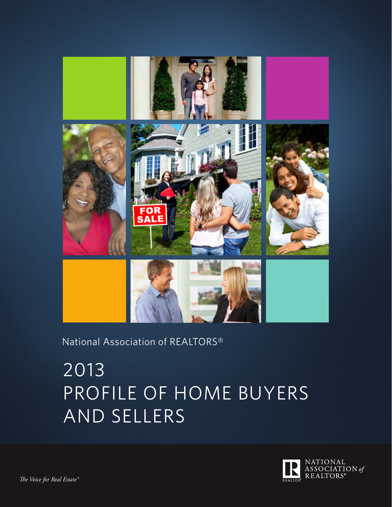

## National Association of REALTORS®

# 2013 PROFILE OF HOME BUYERS AND SELLERS

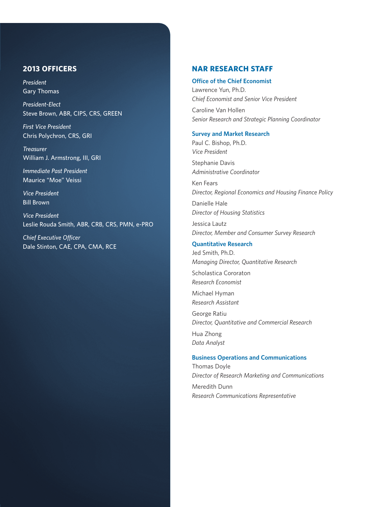### **2013 OFFICERS**

*President*  Gary Thomas

*President-Elect*  Steve Brown, ABR, CIPS, CRS, GREEN

*First Vice President* Chris Polychron, CRS, GRI

*Treasurer*  William J. Armstrong, III, GRI

*Immediate Past President* Maurice "Moe" Veissi

*Vice President* Bill Brown

*Vice President* Leslie Rouda Smith, ABR, CRB, CRS, PMN, e-PRO

*Chief Executive Officer* Dale Stinton, CAE, CPA, CMA, RCE

### **NAR RESEARCH STAFF**

#### **Office of the Chief Economist**

Lawrence Yun, Ph.D. *Chief Economist and Senior Vice President* Caroline Van Hollen *Senior Research and Strategic Planning Coordinator*

### **Survey and Market Research**

Paul C. Bishop, Ph.D. *Vice President* Stephanie Davis

*Administrative Coordinator*

Ken Fears *Director, Regional Economics and Housing Finance Policy*

Danielle Hale *Director of Housing Statistics*

Jessica Lautz *Director, Member and Consumer Survey Research*

#### **Quantitative Research**

Jed Smith, Ph.D. *Managing Director, Quantitative Research*

Scholastica Cororaton *Research Economist*

Michael Hyman *Research Assistant*

George Ratiu *Director, Quantitative and Commercial Research*

Hua Zhong *Data Analyst*

#### **Business Operations and Communications**

Thomas Doyle *Director of Research Marketing and Communications* Meredith Dunn *Research Communications Representative*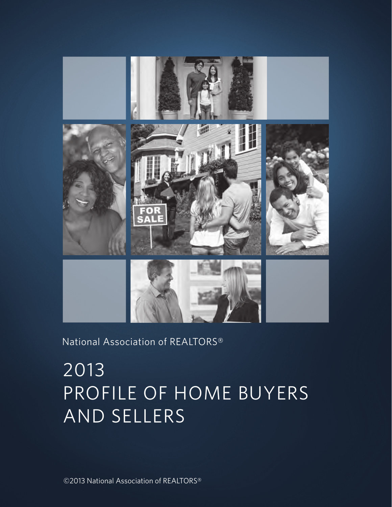

## National Association of REALTORS®

# 2013 PROFILE OF HOME BUYERS AND SELLERS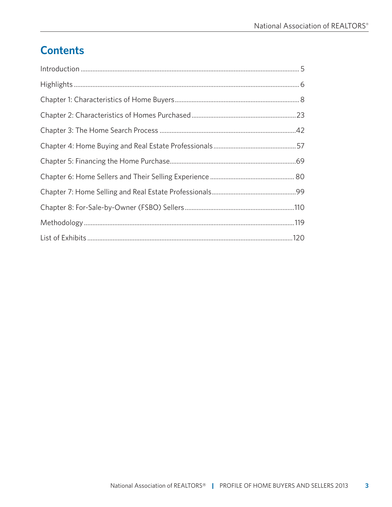# **Contents**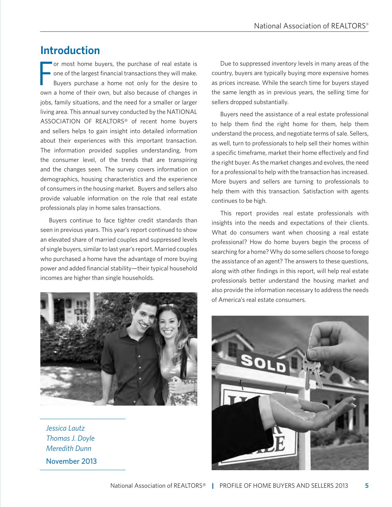### **Introduction**

F or most home buyers, the purchase of real estate is one of the largest financial transactions they will make. Buyers purchase a home not only for the desire to own a home of their own, but also because of changes in jobs, family situations, and the need for a smaller or larger living area. This annual survey conducted by the NATIONAL ASSOCIATION OF REALTORS® of recent home buyers and sellers helps to gain insight into detailed information about their experiences with this important transaction. The information provided supplies understanding, from the consumer level, of the trends that are transpiring and the changes seen. The survey covers information on demographics, housing characteristics and the experience of consumers in the housing market. Buyers and sellers also provide valuable information on the role that real estate professionals play in home sales transactions.

Buyers continue to face tighter credit standards than seen in previous years. This year's report continued to show an elevated share of married couples and suppressed levels of single buyers, similar to last year's report. Married couples who purchased a home have the advantage of more buying power and added financial stability—their typical household incomes are higher than single households.



*Jessica Lautz Thomas J. Doyle Meredith Dunn*  November 2013

Due to suppressed inventory levels in many areas of the country, buyers are typically buying more expensive homes as prices increase. While the search time for buyers stayed the same length as in previous years, the selling time for sellers dropped substantially.

Buyers need the assistance of a real estate professional to help them find the right home for them, help them understand the process, and negotiate terms of sale. Sellers, as well, turn to professionals to help sell their homes within a specific timeframe, market their home effectively and find the right buyer. As the market changes and evolves, the need for a professional to help with the transaction has increased. More buyers and sellers are turning to professionals to help them with this transaction. Satisfaction with agents continues to be high.

This report provides real estate professionals with insights into the needs and expectations of their clients. What do consumers want when choosing a real estate professional? How do home buyers begin the process of searching for a home? Why do some sellers choose to forego the assistance of an agent? The answers to these questions, along with other findings in this report, will help real estate professionals better understand the housing market and also provide the information necessary to address the needs of America's real estate consumers.

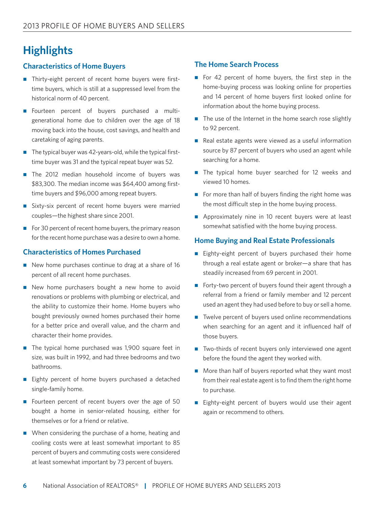# **Highlights**

### **Characteristics of Home Buyers**

- $\blacksquare$  Thirty-eight percent of recent home buyers were firsttime buyers, which is still at a suppressed level from the historical norm of 40 percent.
- Fourteen percent of buyers purchased a multigenerational home due to children over the age of 18 moving back into the house, cost savings, and health and caretaking of aging parents.
- $\blacksquare$  The typical buyer was 42-years-old, while the typical firsttime buyer was 31 and the typical repeat buyer was 52.
- $\blacksquare$  The 2012 median household income of buyers was \$83,300. The median income was \$64,400 among firsttime buyers and \$96,000 among repeat buyers.
- Sixty-six percent of recent home buyers were married couples—the highest share since 2001.
- For 30 percent of recent home buyers, the primary reason for the recent home purchase was a desire to own a home.

### **Characteristics of Homes Purchased**

- $\blacksquare$  New home purchases continue to drag at a share of 16 percent of all recent home purchases.
- $\blacksquare$  New home purchasers bought a new home to avoid renovations or problems with plumbing or electrical, and the ability to customize their home. Home buyers who bought previously owned homes purchased their home for a better price and overall value, and the charm and character their home provides.
- $\blacksquare$  The typical home purchased was 1,900 square feet in size, was built in 1992, and had three bedrooms and two bathrooms.
- Eighty percent of home buyers purchased a detached single-family home.
- Fourteen percent of recent buyers over the age of 50 bought a home in senior-related housing, either for themselves or for a friend or relative.
- $\blacksquare$  When considering the purchase of a home, heating and cooling costs were at least somewhat important to 85 percent of buyers and commuting costs were considered at least somewhat important by 73 percent of buyers.

### **The Home Search Process**

- For 42 percent of home buyers, the first step in the home-buying process was looking online for properties and 14 percent of home buyers first looked online for information about the home buying process.
- $\blacksquare$  The use of the Internet in the home search rose slightly to 92 percent.
- $\blacksquare$  Real estate agents were viewed as a useful information source by 87 percent of buyers who used an agent while searching for a home.
- $\blacksquare$  The typical home buyer searched for 12 weeks and viewed 10 homes.
- For more than half of buyers finding the right home was the most difficult step in the home buying process.
- $\blacksquare$  Approximately nine in 10 recent buyers were at least somewhat satisfied with the home buying process.

### **Home Buying and Real Estate Professionals**

- Eighty-eight percent of buyers purchased their home through a real estate agent or broker—a share that has steadily increased from 69 percent in 2001.
- Forty-two percent of buyers found their agent through a referral from a friend or family member and 12 percent used an agent they had used before to buy or sell a home.
- $\blacksquare$  Twelve percent of buyers used online recommendations when searching for an agent and it influenced half of those buyers.
- $\blacksquare$  Two-thirds of recent buyers only interviewed one agent before the found the agent they worked with.
- $\blacksquare$  More than half of buyers reported what they want most from their real estate agent is to find them the right home to purchase.
- Eighty-eight percent of buyers would use their agent again or recommend to others.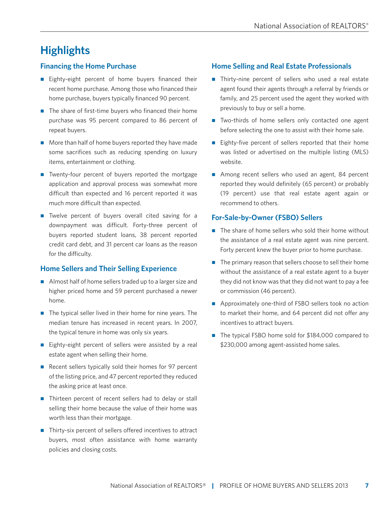# **Highlights**

### **Financing the Home Purchase**

- Eighty-eight percent of home buyers financed their recent home purchase. Among those who financed their home purchase, buyers typically financed 90 percent.
- $\blacksquare$  The share of first-time buyers who financed their home purchase was 95 percent compared to 86 percent of repeat buyers.
- $\blacksquare$  More than half of home buyers reported they have made some sacrifices such as reducing spending on luxury items, entertainment or clothing.
- $\blacksquare$  Twenty-four percent of buyers reported the mortgage application and approval process was somewhat more difficult than expected and 16 percent reported it was much more difficult than expected.
- $\blacksquare$  Twelve percent of buyers overall cited saving for a downpayment was difficult. Forty-three percent of buyers reported student loans, 38 percent reported credit card debt, and 31 percent car loans as the reason for the difficulty.

### **Home Sellers and Their Selling Experience**

- $\blacksquare$  Almost half of home sellers traded up to a larger size and higher priced home and 59 percent purchased a newer home.
- $\blacksquare$  The typical seller lived in their home for nine years. The median tenure has increased in recent years. In 2007, the typical tenure in home was only six years.
- $\blacksquare$  Eighty-eight percent of sellers were assisted by a real estate agent when selling their home.
- Recent sellers typically sold their homes for 97 percent of the listing price, and 47 percent reported they reduced the asking price at least once.
- $\blacksquare$  Thirteen percent of recent sellers had to delay or stall selling their home because the value of their home was worth less than their mortgage.
- $\blacksquare$  Thirty-six percent of sellers offered incentives to attract buyers, most often assistance with home warranty policies and closing costs.

### **Home Selling and Real Estate Professionals**

- $\blacksquare$  Thirty-nine percent of sellers who used a real estate agent found their agents through a referral by friends or family, and 25 percent used the agent they worked with previously to buy or sell a home.
- Two-thirds of home sellers only contacted one agent before selecting the one to assist with their home sale.
- Eighty-five percent of sellers reported that their home was listed or advertised on the multiple listing (MLS) website.
- Among recent sellers who used an agent, 84 percent reported they would definitely (65 percent) or probably (19 percent) use that real estate agent again or recommend to others.

### **For-Sale-by-Owner (FSBO) Sellers**

- $\blacksquare$  The share of home sellers who sold their home without the assistance of a real estate agent was nine percent. Forty percent knew the buyer prior to home purchase.
- $\blacksquare$  The primary reason that sellers choose to sell their home without the assistance of a real estate agent to a buyer they did not know was that they did not want to pay a fee or commission (46 percent).
- $\blacksquare$  Approximately one-third of FSBO sellers took no action to market their home, and 64 percent did not offer any incentives to attract buyers.
- $\blacksquare$  The typical FSBO home sold for \$184,000 compared to \$230,000 among agent-assisted home sales.